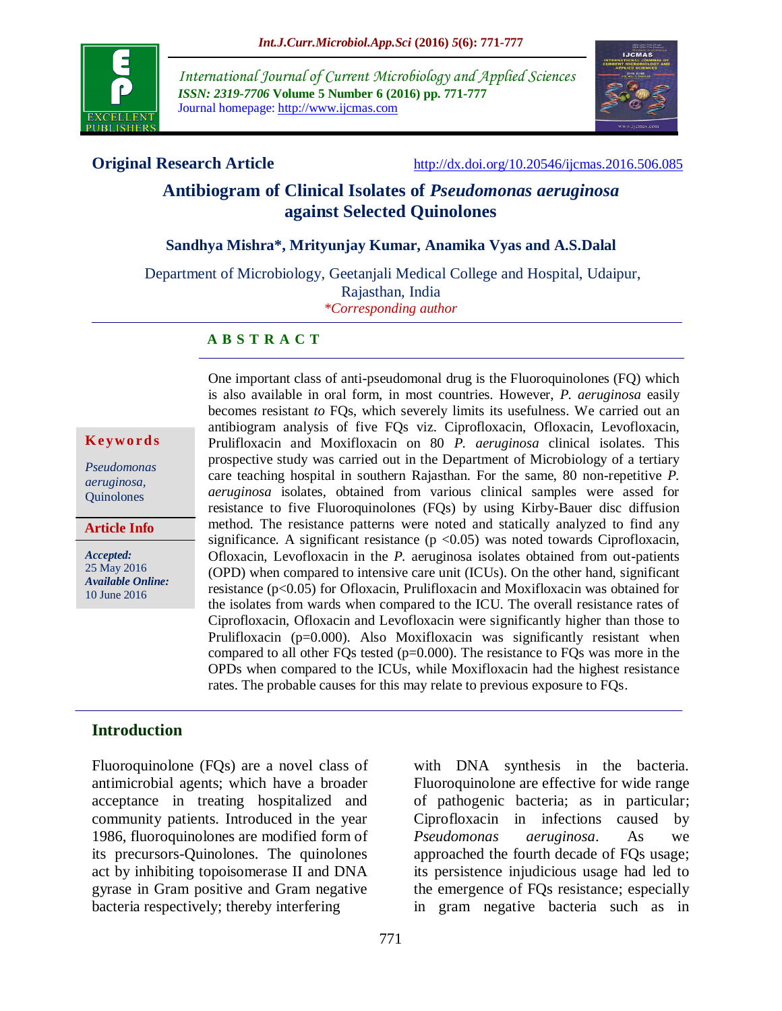

*International Journal of Current Microbiology and Applied Sciences ISSN: 2319-7706* **Volume 5 Number 6 (2016) pp. 771-777** Journal homepage: http://www.ijcmas.com



**Original Research Article** <http://dx.doi.org/10.20546/ijcmas.2016.506.085>

# **Antibiogram of Clinical Isolates of** *Pseudomonas aeruginosa* **against Selected Quinolones**

#### **Sandhya Mishra\*, Mrityunjay Kumar, Anamika Vyas and A.S.Dalal**

Department of Microbiology, Geetanjali Medical College and Hospital, Udaipur, Rajasthan, India *\*Corresponding author*

#### **A B S T R A C T**

#### **K ey w o rd s**

*Pseudomonas aeruginosa,* **Ouinolones** 

**Article Info**

*Accepted:*  25 May 2016 *Available Online:* 10 June 2016

One important class of anti-pseudomonal drug is the Fluoroquinolones (FQ) which is also available in oral form, in most countries. However, *P. aeruginosa* easily becomes resistant *to* FQs, which severely limits its usefulness. We carried out an antibiogram analysis of five FQs viz. Ciprofloxacin, Ofloxacin, Levofloxacin, Prulifloxacin and Moxifloxacin on 80 *P. aeruginosa* clinical isolates. This prospective study was carried out in the Department of Microbiology of a tertiary care teaching hospital in southern Rajasthan. For the same, 80 non-repetitive *P. aeruginosa* isolates, obtained from various clinical samples were assed for resistance to five Fluoroquinolones (FQs) by using Kirby-Bauer disc diffusion method. The resistance patterns were noted and statically analyzed to find any significance. A significant resistance  $(p \lt 0.05)$  was noted towards Ciprofloxacin, Ofloxacin, Levofloxacin in the *P.* aeruginosa isolates obtained from out-patients (OPD) when compared to intensive care unit (ICUs). On the other hand, significant resistance (p<0.05) for Ofloxacin, Prulifloxacin and Moxifloxacin was obtained for the isolates from wards when compared to the ICU. The overall resistance rates of Ciprofloxacin, Ofloxacin and Levofloxacin were significantly higher than those to Prulifloxacin (p=0.000). Also Moxifloxacin was significantly resistant when compared to all other FQs tested (p=0.000). The resistance to FQs was more in the OPDs when compared to the ICUs, while Moxifloxacin had the highest resistance rates. The probable causes for this may relate to previous exposure to FQs.

#### **Introduction**

Fluoroquinolone (FQs) are a novel class of antimicrobial agents; which have a broader acceptance in treating hospitalized and community patients. Introduced in the year 1986, fluoroquinolones are modified form of its precursors-Quinolones. The quinolones act by inhibiting topoisomerase II and DNA gyrase in Gram positive and Gram negative bacteria respectively; thereby interfering

with DNA synthesis in the bacteria. Fluoroquinolone are effective for wide range of pathogenic bacteria; as in particular; Ciprofloxacin in infections caused by *Pseudomonas aeruginosa*. As we approached the fourth decade of FQs usage; its persistence injudicious usage had led to the emergence of FQs resistance; especially in gram negative bacteria such as in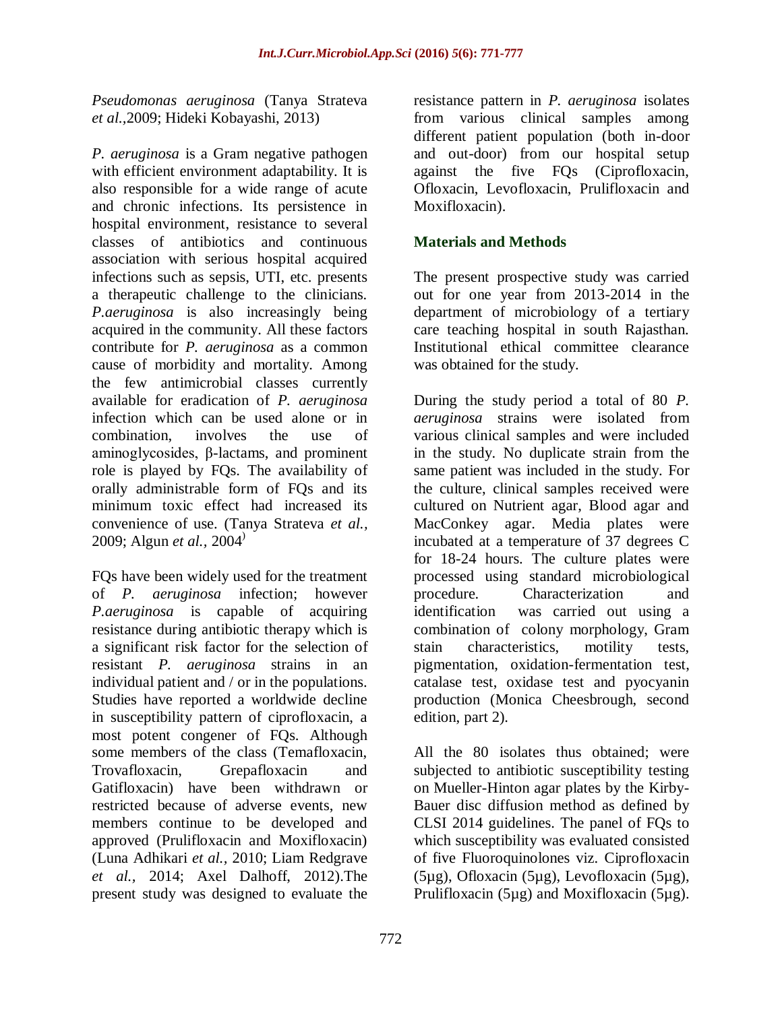*Pseudomonas aeruginosa* (Tanya Strateva *et al.,*2009; Hideki Kobayashi, 2013)

*P. aeruginosa* is a Gram negative pathogen with efficient environment adaptability. It is also responsible for a wide range of acute and chronic infections. Its persistence in hospital environment, resistance to several classes of antibiotics and continuous association with serious hospital acquired infections such as sepsis, UTI, etc. presents a therapeutic challenge to the clinicians. *P.aeruginosa* is also increasingly being acquired in the community. All these factors contribute for *P. aeruginosa* as a common cause of morbidity and mortality. Among the few antimicrobial classes currently available for eradication of *P. aeruginosa* infection which can be used alone or in combination, involves the use of aminoglycosides, β-lactams, and prominent role is played by FQs. The availability of orally administrable form of FQs and its minimum toxic effect had increased its convenience of use. (Tanya Strateva *et al.,* 2009; Algun *et al.,* 2004)

FQs have been widely used for the treatment of *P. aeruginosa* infection; however *P.aeruginosa* is capable of acquiring resistance during antibiotic therapy which is a significant risk factor for the selection of resistant *P. aeruginosa* strains in an individual patient and / or in the populations. Studies have reported a worldwide decline in susceptibility pattern of ciprofloxacin, a most potent congener of FQs. Although some members of the class (Temafloxacin, Trovafloxacin, Grepafloxacin and Gatifloxacin) have been withdrawn or restricted because of adverse events, new members continue to be developed and approved (Prulifloxacin and Moxifloxacin) (Luna Adhikari *et al.,* 2010; Liam Redgrave *et al.,* 2014; Axel Dalhoff, 2012).The present study was designed to evaluate the

resistance pattern in *P. aeruginosa* isolates from various clinical samples among different patient population (both in-door and out-door) from our hospital setup against the five FQs (Ciprofloxacin, Ofloxacin, Levofloxacin, Prulifloxacin and Moxifloxacin).

## **Materials and Methods**

The present prospective study was carried out for one year from 2013-2014 in the department of microbiology of a tertiary care teaching hospital in south Rajasthan. Institutional ethical committee clearance was obtained for the study.

During the study period a total of 80 *P. aeruginosa* strains were isolated from various clinical samples and were included in the study. No duplicate strain from the same patient was included in the study. For the culture, clinical samples received were cultured on Nutrient agar, Blood agar and MacConkey agar. Media plates were incubated at a temperature of 37 degrees C for 18-24 hours. The culture plates were processed using standard microbiological procedure. Characterization and identification was carried out using a combination of colony morphology, Gram stain characteristics, motility tests, pigmentation, oxidation-fermentation test, catalase test, oxidase test and pyocyanin production (Monica Cheesbrough, second edition, part 2).

All the 80 isolates thus obtained; were subjected to antibiotic susceptibility testing on Mueller-Hinton agar plates by the Kirby-Bauer disc diffusion method as defined by CLSI 2014 guidelines. The panel of FQs to which susceptibility was evaluated consisted of five Fluoroquinolones viz. Ciprofloxacin (5µg), Ofloxacin (5µg), Levofloxacin (5µg), Prulifloxacin (5µg) and Moxifloxacin (5µg).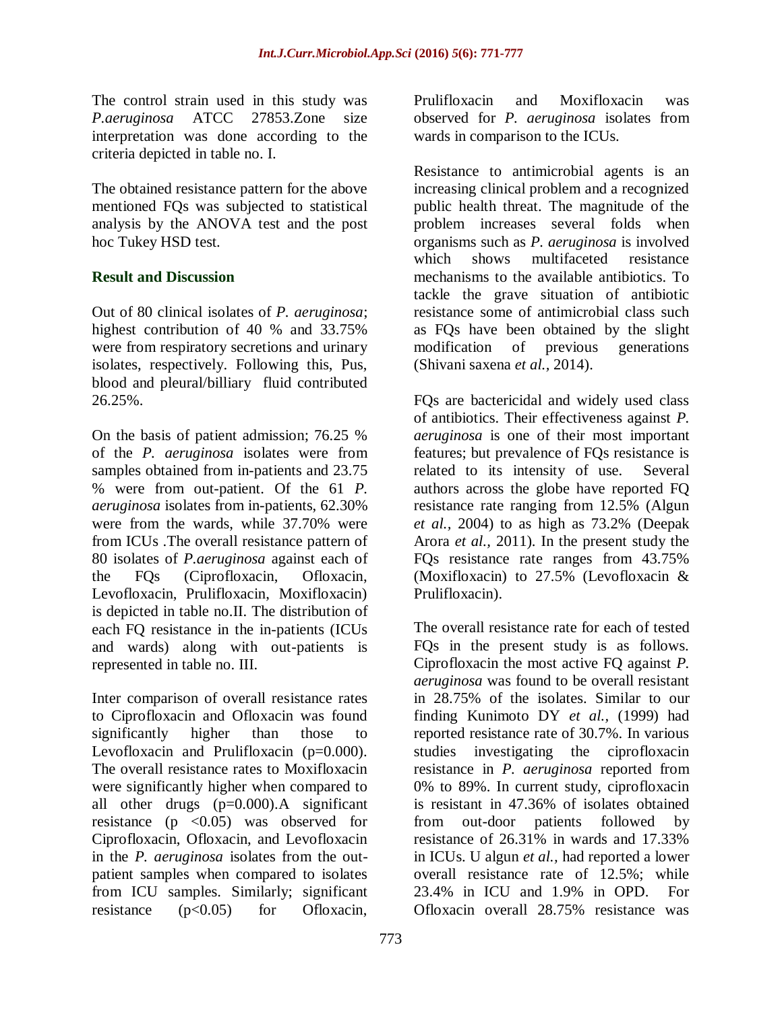The control strain used in this study was *P.aeruginosa* ATCC 27853.Zone size interpretation was done according to the criteria depicted in table no. I.

The obtained resistance pattern for the above mentioned FQs was subjected to statistical analysis by the ANOVA test and the post hoc Tukey HSD test.

## **Result and Discussion**

Out of 80 clinical isolates of *P. aeruginosa*; highest contribution of 40 % and 33.75% were from respiratory secretions and urinary isolates, respectively. Following this, Pus, blood and pleural/billiary fluid contributed 26.25%.

On the basis of patient admission; 76.25 % of the *P. aeruginosa* isolates were from samples obtained from in-patients and 23.75 % were from out-patient. Of the 61 *P. aeruginosa* isolates from in-patients, 62.30% were from the wards, while 37.70% were from ICUs .The overall resistance pattern of 80 isolates of *P.aeruginosa* against each of the FQs (Ciprofloxacin, Ofloxacin, Levofloxacin, Prulifloxacin, Moxifloxacin) is depicted in table no.II. The distribution of each FQ resistance in the in-patients (ICUs and wards) along with out-patients is represented in table no. III.

Inter comparison of overall resistance rates to Ciprofloxacin and Ofloxacin was found significantly higher than those to Levofloxacin and Prulifloxacin (p=0.000). The overall resistance rates to Moxifloxacin were significantly higher when compared to all other drugs (p=0.000).A significant resistance ( $p \leq 0.05$ ) was observed for Ciprofloxacin, Ofloxacin, and Levofloxacin in the *P. aeruginosa* isolates from the outpatient samples when compared to isolates from ICU samples. Similarly; significant resistance  $(p<0.05)$  for Ofloxacin,

Prulifloxacin and Moxifloxacin was observed for *P. aeruginosa* isolates from wards in comparison to the ICUs.

Resistance to antimicrobial agents is an increasing clinical problem and a recognized public health threat. The magnitude of the problem increases several folds when organisms such as *P. aeruginosa* is involved which shows multifaceted resistance mechanisms to the available antibiotics. To tackle the grave situation of antibiotic resistance some of antimicrobial class such as FQs have been obtained by the slight modification of previous generations (Shivani saxena *et al.,* 2014).

FQs are bactericidal and widely used class of antibiotics. Their effectiveness against *P. aeruginosa* is one of their most important features; but prevalence of FQs resistance is related to its intensity of use. Several authors across the globe have reported FQ resistance rate ranging from 12.5% (Algun *et al.,* 2004) to as high as 73.2% (Deepak Arora *et al.,* 2011). In the present study the FQs resistance rate ranges from 43.75% (Moxifloxacin) to 27.5% (Levofloxacin & Prulifloxacin).

The overall resistance rate for each of tested FQs in the present study is as follows. Ciprofloxacin the most active FQ against *P. aeruginosa* was found to be overall resistant in 28.75% of the isolates. Similar to our finding Kunimoto DY *et al.,* (1999) had reported resistance rate of 30.7%. In various studies investigating the ciprofloxacin resistance in *P. aeruginosa* reported from 0% to 89%. In current study, ciprofloxacin is resistant in 47.36% of isolates obtained from out-door patients followed by resistance of 26.31% in wards and 17.33% in ICUs. U algun *et al.,* had reported a lower overall resistance rate of 12.5%; while 23.4% in ICU and 1.9% in OPD. For Ofloxacin overall 28.75% resistance was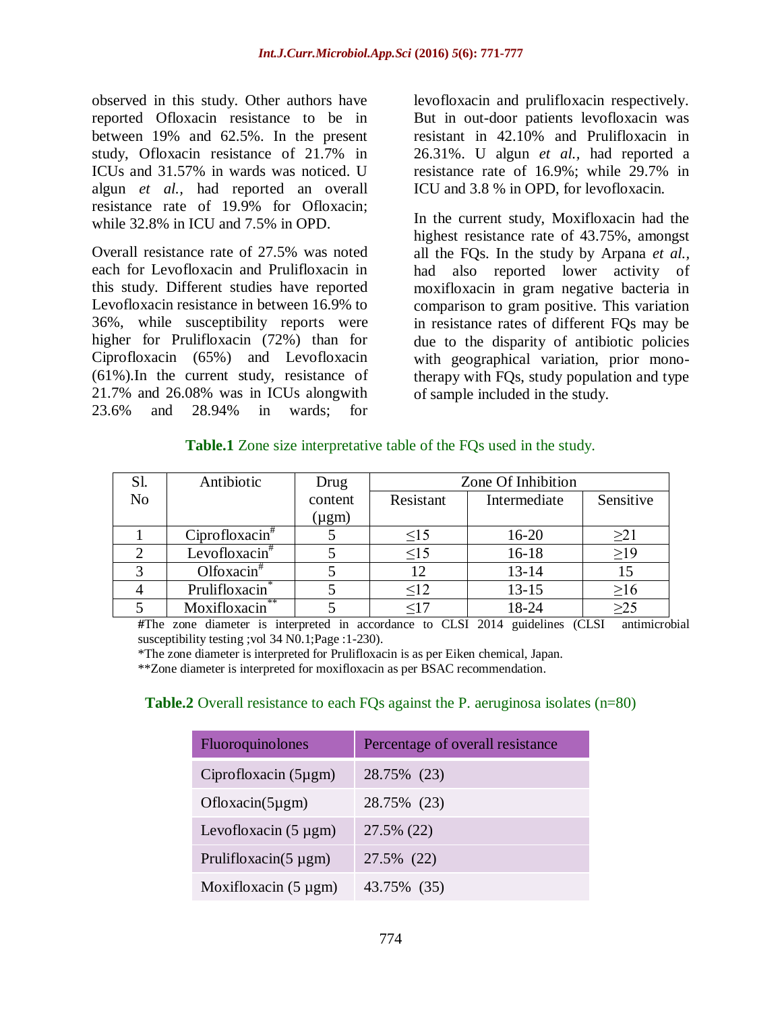observed in this study. Other authors have reported Ofloxacin resistance to be in between 19% and 62.5%. In the present study, Ofloxacin resistance of 21.7% in ICUs and 31.57% in wards was noticed. U algun *et al.,* had reported an overall resistance rate of 19.9% for Ofloxacin; while 32.8% in ICU and 7.5% in OPD.

Overall resistance rate of 27.5% was noted each for Levofloxacin and Prulifloxacin in this study. Different studies have reported Levofloxacin resistance in between 16.9% to 36%, while susceptibility reports were higher for Prulifloxacin (72%) than for Ciprofloxacin (65%) and Levofloxacin (61%).In the current study, resistance of 21.7% and 26.08% was in ICUs alongwith 23.6% and 28.94% in wards; for

levofloxacin and prulifloxacin respectively. But in out-door patients levofloxacin was resistant in 42.10% and Prulifloxacin in 26.31%. U algun *et al.,* had reported a resistance rate of 16.9%; while 29.7% in ICU and 3.8 % in OPD, for levofloxacin.

In the current study, Moxifloxacin had the highest resistance rate of 43.75%, amongst all the FQs. In the study by Arpana *et al.,* had also reported lower activity of moxifloxacin in gram negative bacteria in comparison to gram positive. This variation in resistance rates of different FQs may be due to the disparity of antibiotic policies with geographical variation, prior monotherapy with FQs, study population and type of sample included in the study.

| <b>Table.1</b> Zone size interpretative table of the FQs used in the study. |  |
|-----------------------------------------------------------------------------|--|
|                                                                             |  |

| Sl.            | Antibiotic         | Drug       | Zone Of Inhibition |              |           |
|----------------|--------------------|------------|--------------------|--------------|-----------|
| N <sub>o</sub> |                    | content    | Resistant          | Intermediate | Sensitive |
|                |                    | $(\mu gm)$ |                    |              |           |
|                | Ciprofloxacin      |            | $\leq15$           | $16 - 20$    | $\geq$ 21 |
|                | Levofloxacin $*$   |            | $\leq15$           | $16 - 18$    | $\geq$ 19 |
|                | Olfoxacin $*$      |            | 12                 | $13 - 14$    | 15        |
|                | Prulifloxacin      |            | $\leq 12$          | $13 - 15$    | $\geq 16$ |
|                | **<br>Moxifloxacin |            | <17                | 18-24        | $\geq$ 25 |

**#**The zone diameter is interpreted in accordance to CLSI 2014 guidelines (CLSI antimicrobial susceptibility testing ;vol 34 N0.1;Page :1-230).

\*The zone diameter is interpreted for Prulifloxacin is as per Eiken chemical, Japan.

\*\*Zone diameter is interpreted for moxifloxacin as per BSAC recommendation.

### **Table.2** Overall resistance to each FOs against the P. aeruginosa isolates (n=80)

| Fluoroquinolones           | Percentage of overall resistance |
|----------------------------|----------------------------------|
| Ciprofloxacin (5µgm)       | 28.75% (23)                      |
| $Oflox (5\mu gm)$          | 28.75% (23)                      |
| Levofloxacin $(5 \mu gm)$  | 27.5% (22)                       |
| Prulifloxacin( $5 \mu$ gm) | 27.5% (22)                       |
| Moxifloxacin $(5 \mu gm)$  | 43.75% (35)                      |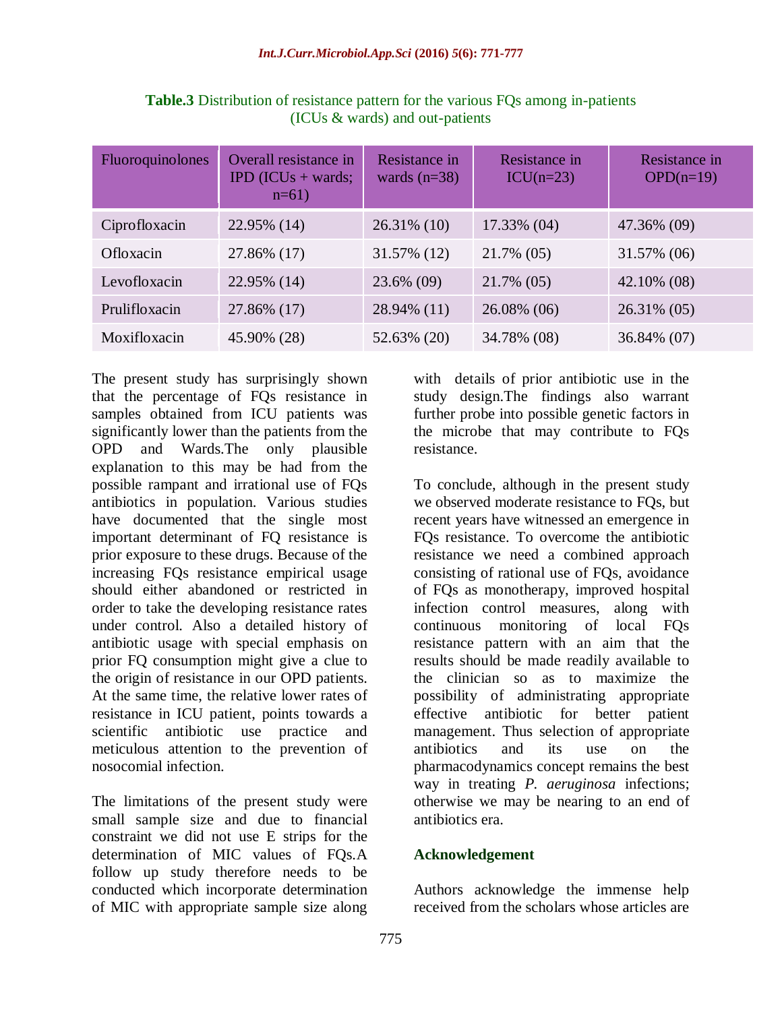| Fluoroquinolones | Overall resistance in<br><b>IPD</b> ( <b>ICUs</b> + wards;<br>$n=61$ | Resistance in<br>wards $(n=38)$ | Resistance in<br>$ICU(n=23)$ | Resistance in<br>$OPD(n=19)$ |
|------------------|----------------------------------------------------------------------|---------------------------------|------------------------------|------------------------------|
| Ciprofloxacin    | 22.95% (14)                                                          | $26.31\%$ (10)                  | 17.33% (04)                  | 47.36% (09)                  |
| Ofloxacin        | 27.86% (17)                                                          | 31.57% (12)                     | 21.7% (05)                   | 31.57% (06)                  |
| Levofloxacin     | 22.95% (14)                                                          | 23.6% (09)                      | 21.7% (05)                   | 42.10% (08)                  |
| Prulifloxacin    | 27.86% (17)                                                          | 28.94% (11)                     | 26.08% (06)                  | 26.31% (05)                  |
| Moxifloxacin     | 45.90% (28)                                                          | 52.63% (20)                     | 34.78% (08)                  | 36.84% (07)                  |

**Table.3** Distribution of resistance pattern for the various FQs among in-patients (ICUs & wards) and out-patients

The present study has surprisingly shown that the percentage of FQs resistance in samples obtained from ICU patients was significantly lower than the patients from the OPD and Wards.The only plausible explanation to this may be had from the possible rampant and irrational use of FQs antibiotics in population. Various studies have documented that the single most important determinant of FQ resistance is prior exposure to these drugs. Because of the increasing FQs resistance empirical usage should either abandoned or restricted in order to take the developing resistance rates under control. Also a detailed history of antibiotic usage with special emphasis on prior FQ consumption might give a clue to the origin of resistance in our OPD patients. At the same time, the relative lower rates of resistance in ICU patient, points towards a scientific antibiotic use practice and meticulous attention to the prevention of nosocomial infection.

The limitations of the present study were small sample size and due to financial constraint we did not use E strips for the determination of MIC values of FQs.A follow up study therefore needs to be conducted which incorporate determination of MIC with appropriate sample size along

with details of prior antibiotic use in the study design.The findings also warrant further probe into possible genetic factors in the microbe that may contribute to FQs resistance.

To conclude, although in the present study we observed moderate resistance to FQs, but recent years have witnessed an emergence in FQs resistance. To overcome the antibiotic resistance we need a combined approach consisting of rational use of FQs, avoidance of FQs as monotherapy, improved hospital infection control measures, along with continuous monitoring of local FQs resistance pattern with an aim that the results should be made readily available to the clinician so as to maximize the possibility of administrating appropriate effective antibiotic for better patient management. Thus selection of appropriate antibiotics and its use on the pharmacodynamics concept remains the best way in treating *P. aeruginosa* infections; otherwise we may be nearing to an end of antibiotics era.

### **Acknowledgement**

Authors acknowledge the immense help received from the scholars whose articles are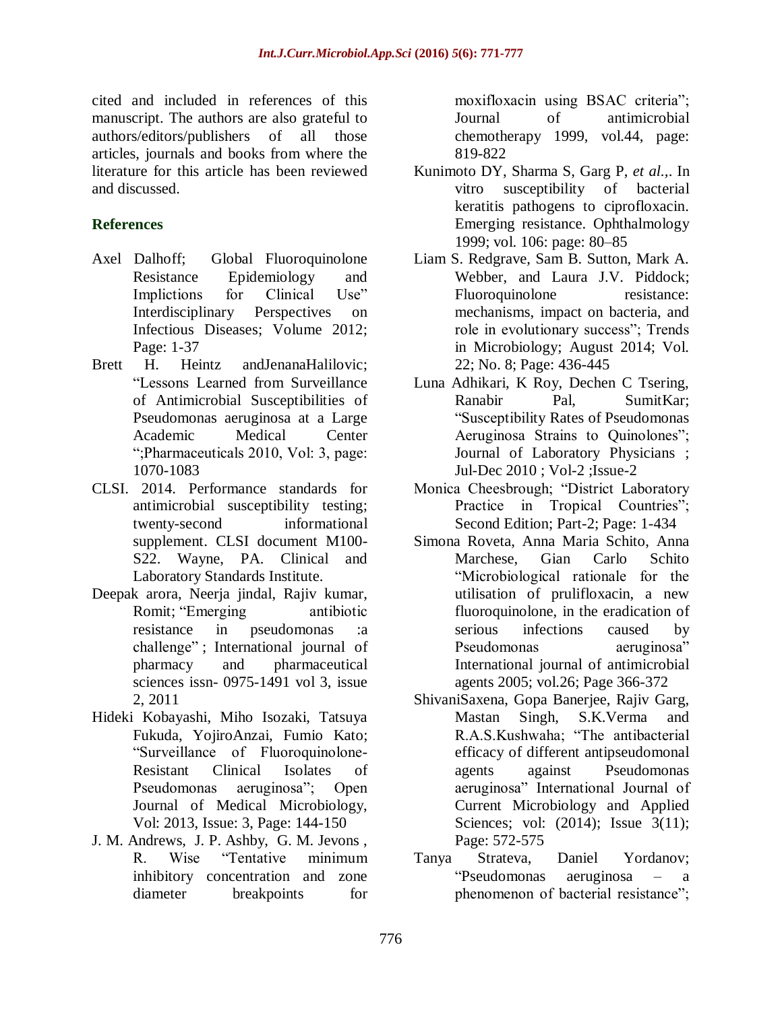cited and included in references of this manuscript. The authors are also grateful to authors/editors/publishers of all those articles, journals and books from where the literature for this article has been reviewed and discussed.

## **References**

- Axel Dalhoff; Global Fluoroquinolone Resistance Epidemiology and Implictions for Clinical Use" Interdisciplinary Perspectives on Infectious Diseases; Volume 2012; Page: 1-37
- Brett H. Heintz andJenanaHalilovic; ―Lessons Learned from Surveillance of Antimicrobial Susceptibilities of Pseudomonas aeruginosa at a Large Academic Medical Center ―;Pharmaceuticals 2010, Vol: 3, page: 1070-1083
- CLSI. 2014. Performance standards for antimicrobial susceptibility testing; twenty-second informational supplement. CLSI document M100- S22. Wayne, PA. Clinical and Laboratory Standards Institute.
- Deepak arora, Neerja jindal, Rajiv kumar, Romit; "Emerging antibiotic resistance in pseudomonas :a challenge"; International journal of pharmacy and pharmaceutical sciences issn- 0975-1491 vol 3, issue 2, 2011
- Hideki Kobayashi, Miho Isozaki, Tatsuya Fukuda, YojiroAnzai, Fumio Kato; ―Surveillance of Fluoroquinolone-Resistant Clinical Isolates of Pseudomonas aeruginosa"; Open Journal of Medical Microbiology, Vol: 2013, Issue: 3, Page: 144-150
- J. M. Andrews, J. P. Ashby, G. M. Jevons , R. Wise "Tentative minimum inhibitory concentration and zone diameter breakpoints for

moxifloxacin using BSAC criteria"; Journal of antimicrobial chemotherapy 1999, vol.44, page: 819-822

- Kunimoto DY, Sharma S, Garg P, *et al.,*. In vitro susceptibility of bacterial keratitis pathogens to ciprofloxacin. Emerging resistance. Ophthalmology 1999; vol. 106: page: 80–85
- Liam S. Redgrave, Sam B. Sutton, Mark A. Webber, and Laura J.V. Piddock; Fluoroquinolone resistance: mechanisms, impact on bacteria, and role in evolutionary success"; Trends in Microbiology; August 2014; Vol. 22; No. 8; Page: 436-445
- Luna Adhikari, K Roy, Dechen C Tsering, Ranabir Pal, SumitKar; ―Susceptibility Rates of Pseudomonas Aeruginosa Strains to Quinolones"; Journal of Laboratory Physicians ; Jul-Dec 2010 ; Vol-2 ;Issue-2
- Monica Cheesbrough; "District Laboratory Practice in Tropical Countries"; Second Edition; Part-2; Page: 1-434
- Simona Roveta, Anna Maria Schito, Anna Marchese, Gian Carlo Schito ―Microbiological rationale for the utilisation of prulifloxacin, a new fluoroquinolone, in the eradication of serious infections caused by Pseudomonas aeruginosa" International journal of antimicrobial agents 2005; vol.26; Page 366-372
- ShivaniSaxena, Gopa Banerjee, Rajiv Garg, Mastan Singh, S.K.Verma and R.A.S.Kushwaha; "The antibacterial efficacy of different antipseudomonal agents against Pseudomonas aeruginosa" International Journal of Current Microbiology and Applied Sciences; vol: (2014); Issue 3(11); Page: 572-575
- Tanya Strateva, Daniel Yordanov; ―Pseudomonas aeruginosa – a phenomenon of bacterial resistance";